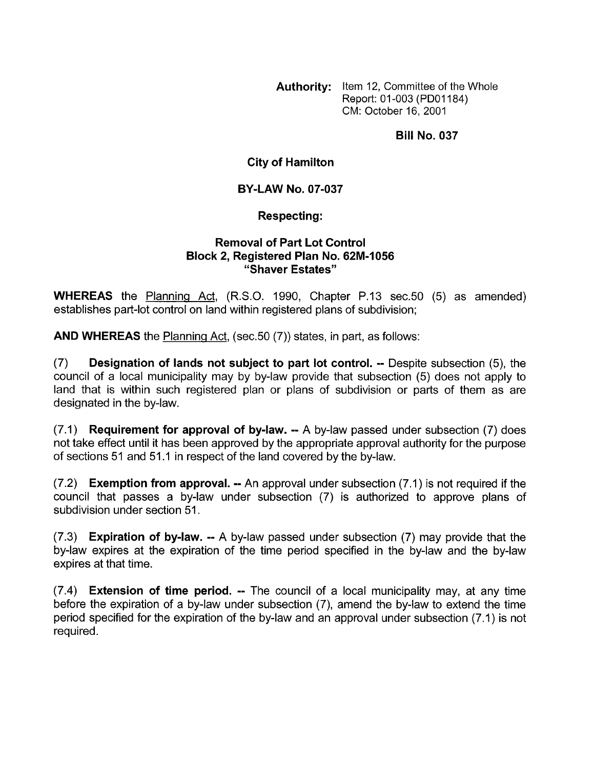**Authority:** Item 12, Committee of the Whole Report: 01 -003 (PDOl184) CM: October 16, 2001

**Bill No. 037** 

**City of Hamilton** 

**BY-LAW NO. 07-037** 

**Respecting:** 

## **Removal of Part Lot Control Block 2, Registered Plan No. 62M-1056 "Shaver Estates"**

**WHEREAS** the Planning Act, (R.S.O. 1990, Chapter P.13 sec.50 (5) as amended) establishes part-lot control on land within registered plans of subdivision;

**AND WHEREAS** the Planning Act, (sec.50 (7)) states, in part, as follows:

(7) **Designation of lands not subject to part lot control.** -- Despite subsection *(5),* the council of a local municipality may by by-law provide that subsection (5) does not apply to land that is within such registered plan or plans of subdivision or parts of them as are designated in the by-law.

(7.1) **Requirement for approval of bylaw.** -- A by-law passed under subsection (7) does not take effect until it has been approved by the appropriate approval authority for the purpose of sections 51 and 51.1 in respect of the land covered by the by-law.

(7.2) **Exemption from approval.** -- An approval under subsection (7.1) is not required if the council that passes a by-law under subsection (7) is authorized to approve plans of subdivision under section 51.

(7.3) **Expiration of by-law.** -- A by-law passed under subsection (7) may provide that the by-law expires at the expiration of the time period specified in the by-law and the by-law expires at that time.

(7.4) **Extension of time period.** -- The council of a local municipality may, at any time before the expiration of a by-law under subsection (7), amend the by-law to extend the time period specified for the expiration of the by-law and an approval under subsection (7.1) is not required.